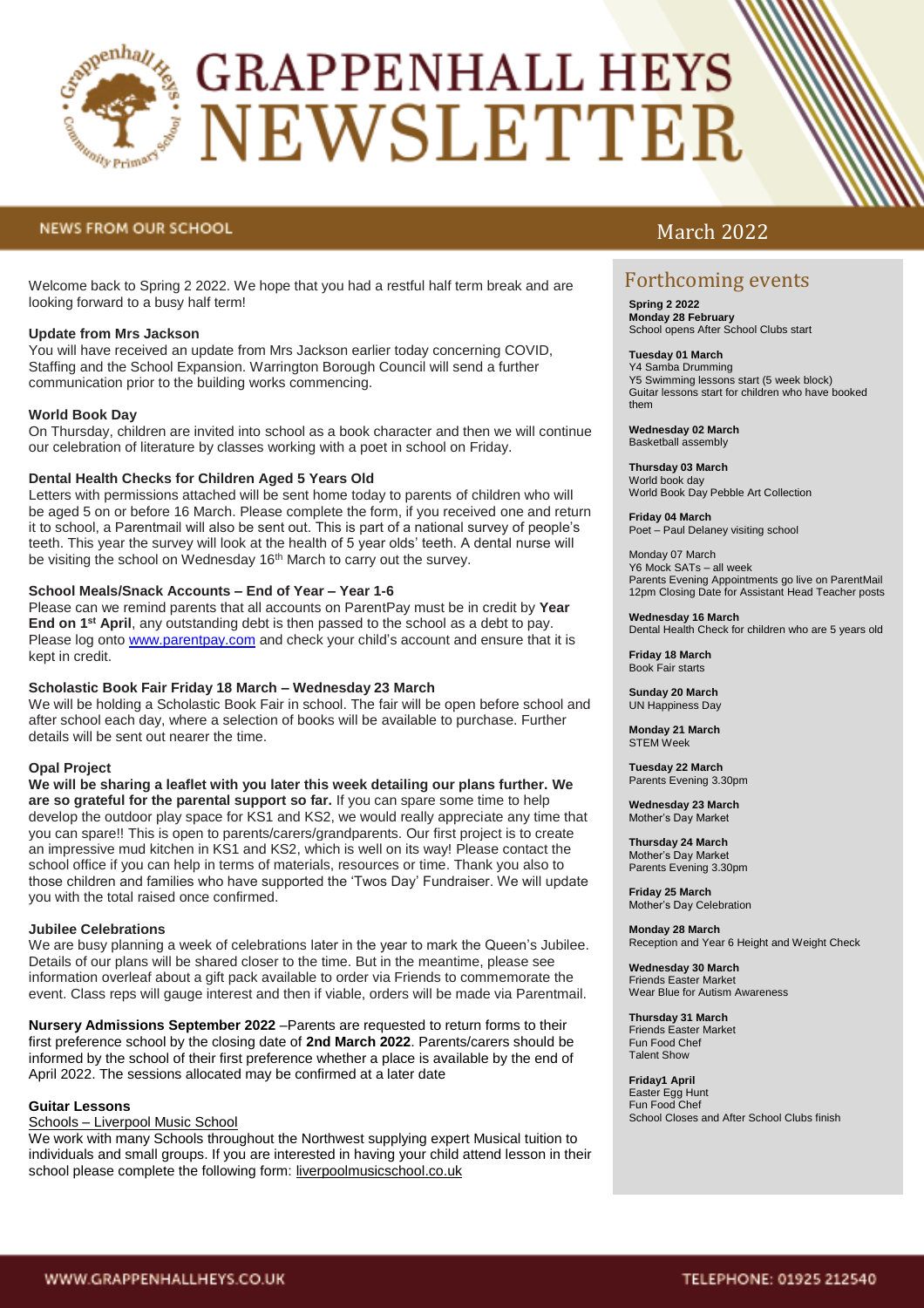

# **GRAPPENHALL HEYS** NEWSLETTER

## **NEWS FROM OUR SCHOOL**

Welcome back to Spring 2 2022. We hope that you had a restful half term break and are looking forward to a busy half term!

### **Update from Mrs Jackson**

You will have received an update from Mrs Jackson earlier today concerning COVID, Staffing and the School Expansion. Warrington Borough Council will send a further communication prior to the building works commencing.

### **World Book Day**

On Thursday, children are invited into school as a book character and then we will continue our celebration of literature by classes working with a poet in school on Friday.

#### **Dental Health Checks for Children Aged 5 Years Old**

Letters with permissions attached will be sent home today to parents of children who will be aged 5 on or before 16 March. Please complete the form, if you received one and return it to school, a Parentmail will also be sent out. This is part of a national survey of people's teeth. This year the survey will look at the health of 5 year olds' teeth. A dental nurse will be visiting the school on Wednesday 16<sup>th</sup> March to carry out the survey.

#### **School Meals/Snack Accounts – End of Year – Year 1-6**

Please can we remind parents that all accounts on ParentPay must be in credit by **Year End on 1st April**, any outstanding debt is then passed to the school as a debt to pay. Please log onto [www.parentpay.com](http://www.parentpay.com/) and check your child's account and ensure that it is kept in credit.

#### **Scholastic Book Fair Friday 18 March – Wednesday 23 March**

We will be holding a Scholastic Book Fair in school. The fair will be open before school and after school each day, where a selection of books will be available to purchase. Further details will be sent out nearer the time.

#### **Opal Project**

**We will be sharing a leaflet with you later this week detailing our plans further. We are so grateful for the parental support so far.** If you can spare some time to help develop the outdoor play space for KS1 and KS2, we would really appreciate any time that you can spare!! This is open to parents/carers/grandparents. Our first project is to create an impressive mud kitchen in KS1 and KS2, which is well on its way! Please contact the school office if you can help in terms of materials, resources or time. Thank you also to those children and families who have supported the 'Twos Day' Fundraiser. We will update you with the total raised once confirmed.

#### **Jubilee Celebrations**

We are busy planning a week of celebrations later in the year to mark the Queen's Jubilee. Details of our plans will be shared closer to the time. But in the meantime, please see information overleaf about a gift pack available to order via Friends to commemorate the event. Class reps will gauge interest and then if viable, orders will be made via Parentmail.

**Nursery Admissions September 2022** –Parents are requested to return forms to their first preference school by the closing date of **2nd March 2022**. Parents/carers should be informed by the school of their first preference whether a place is available by the end of April 2022. The sessions allocated may be confirmed at a later date

#### **Guitar Lessons**

#### Schools – [Liverpool Music School](https://liverpoolmusicschool.co.uk/schools-2/)

We work with many Schools throughout the Northwest supplying expert Musical tuition to individuals and small groups. If you are interested in having your child attend lesson in their school please complete the following form: [liverpoolmusicschool.co.uk](http://liverpoolmusicschool.co.uk/)

# March 2022

## Forthcoming events

**Spring 2 2022 Monday 28 February** School opens After School Clubs start

#### **Tuesday 01 March**  Y4 Samba Drumming

Y5 Swimming lessons start (5 week block) Guitar lessons start for children who have booked them

#### **Wednesday 02 March**  Basketball assembly

**Thursday 03 March** World book day World Book Day Pebble Art Collection

**Friday 04 March**  Poet – Paul Delaney visiting school

Monday 07 March Y6 Mock SATs – all week Parents Evening Appointments go live on ParentMail 12pm Closing Date for Assistant Head Teacher posts

#### **Wednesday 16 March**

Dental Health Check for children who are 5 years old

**Friday 18 March** Book Fair starts

**Sunday 20 March** UN Happiness Day

**Monday 21 March** STEM Week

**Tuesday 22 March** Parents Evening 3.30pm

**Wednesday 23 March** Mother's Day Market

**Thursday 24 March** Mother's Day Market Parents Evening 3.30pm

**Friday 25 March** Mother's Day Celebration

**Monday 28 March** Reception and Year 6 Height and Weight Check

**Wednesday 30 March** Friends Easter Market Wear Blue for Autism Awareness

**Thursday 31 March** Friends Easter Market Fun Food Chef Talent Show

**Friday1 April** Easter Egg Hunt Fun Food Chef School Closes and After School Clubs finish